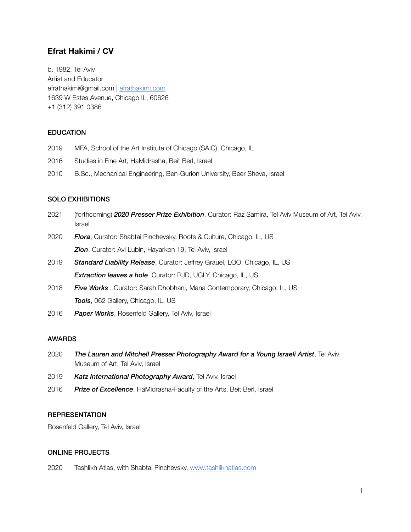# **Efrat Hakimi / CV**

b. 1982, Tel Aviv Artist and Educator efrathakimi@gmail.com | [efrathakimi.com](http://efrathakimi.com) 1639 W Estes Avenue, Chicago IL, 60626 +1 (312) 391 0386

### **EDUCATION**

- 2019 MFA, School of the Art Institute of Chicago (SAIC), Chicago, IL
- 2016 Studies in Fine Art, HaMidrasha, Beit Berl, Israel
- 2010 B.Sc., Mechanical Engineering, Ben-Gurion University, Beer Sheva, Israel

#### SOLO EXHIBITIONS

| 2021 | (forthcoming) 2020 Presser Prize Exhibition, Curator: Raz Samira, Tel Aviv Museum of Art, Tel Aviv,<br>Israel |
|------|---------------------------------------------------------------------------------------------------------------|
| 2020 | <b>Flora</b> , Curator: Shabtai Pinchevsky, Roots & Culture, Chicago, IL, US                                  |
|      | <b>Zion</b> , Curator: Avi Lubin, Hayarkon 19, Tel Aviv, Israel                                               |
| 2019 | <b>Standard Liability Release, Curator: Jeffrey Grauel, LOO, Chicago, IL, US</b>                              |
|      | <b>Extraction leaves a hole, Curator: RJD, UGLY, Chicago, IL, US</b>                                          |
| 2018 | Five Works, Curator: Sarah Dhobhani, Mana Contemporary, Chicago, IL, US                                       |
|      | <b>Tools</b> , 062 Gallery, Chicago, IL, US                                                                   |

2016 *Paper Works*, Rosenfeld Gallery, Tel Aviv, Israel

#### AWARDS

- 2020 *The Lauren and Mitchell Presser Photography Award for a Young Israeli Artist*, Tel Aviv Museum of Art, Tel Aviv, Israel
- 2019 *Katz International Photography Award*, Tel Aviv, Israel
- 2016 *Prize of Excellence*, HaMidrasha-Faculty of the Arts, Beit Berl, Israel

### **REPRESENTATION**

Rosenfeld Gallery, Tel Aviv, Israel

#### ONLINE PROJECTS

2020 Tashlikh Atlas, with Shabtai Pinchevsky, [www.tashlikhatlas.com](http://www.tashlikhatlas.com)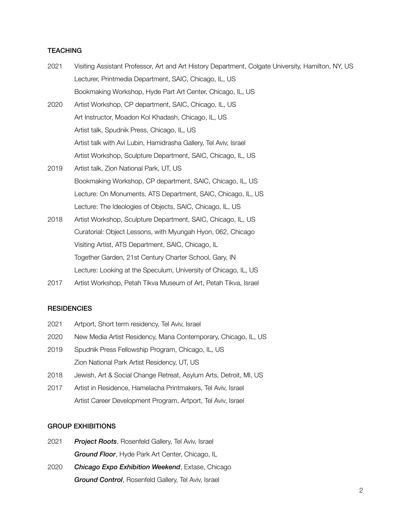### **TEACHING**

| 2021 | Visiting Assistant Professor, Art and Art History Department, Colgate University, Hamilton, NY, US |
|------|----------------------------------------------------------------------------------------------------|
|      | Lecturer, Printmedia Department, SAIC, Chicago, IL, US                                             |
|      | Bookmaking Workshop, Hyde Part Art Center, Chicago, IL, US                                         |
| 2020 | Artist Workshop, CP department, SAIC, Chicago, IL, US                                              |
|      | Art Instructor, Moadon Kol Khadash, Chicago, IL, US                                                |
|      | Artist talk, Spudnik Press, Chicago, IL, US                                                        |
|      | Artist talk with Avi Lubin, Hamidrasha Gallery, Tel Aviv, Israel                                   |
|      | Artist Workshop, Sculpture Department, SAIC, Chicago, IL, US                                       |
| 2019 | Artist talk, Zion National Park, UT, US                                                            |
|      | Bookmaking Workshop, CP department, SAIC, Chicago, IL, US                                          |
|      | Lecture: On Monuments, ATS Department, SAIC, Chicago, IL, US                                       |
|      | Lecture: The Ideologies of Objects, SAIC, Chicago, IL, US                                          |
| 2018 | Artist Workshop, Sculpture Department, SAIC, Chicago, IL, US                                       |
|      | Curatorial: Object Lessons, with Myungah Hyon, 062, Chicago                                        |
|      | Visiting Artist, ATS Department, SAIC, Chicago, IL                                                 |
|      | Together Garden, 21st Century Charter School, Gary, IN                                             |
|      | Lecture: Looking at the Speculum, University of Chicago, IL, US                                    |
| 2017 | Artist Workshop, Petah Tikva Museum of Art, Petah Tikva, Israel                                    |

## **RESIDENCIES**

- 2021 Artport, Short term residency, Tel Aviv, Israel
- 2020 New Media Artist Residency, Mana Contemporary, Chicago, IL, US
- 2019 Spudnik Press Fellowship Program, Chicago, IL, US Zion National Park Artist Residency, UT, US
- 2018 Jewish, Art & Social Change Retreat, Asylum Arts, Detroit, MI, US
- 2017 Artist in Residence, Hamelacha Printmakers, Tel Aviv, Israel Artist Career Development Program, Artport, Tel Aviv, Israel

#### GROUP EXHIBITIONS

- 2021 *Project Roots*, Rosenfeld Gallery, Tel Aviv, Israel *Ground Floor*, Hyde Park Art Center, Chicago, IL
- 2020 *Chicago Expo Exhibition Weekend*, Extase, Chicago *Ground Control*, Rosenfeld Gallery, Tel Aviv, Israel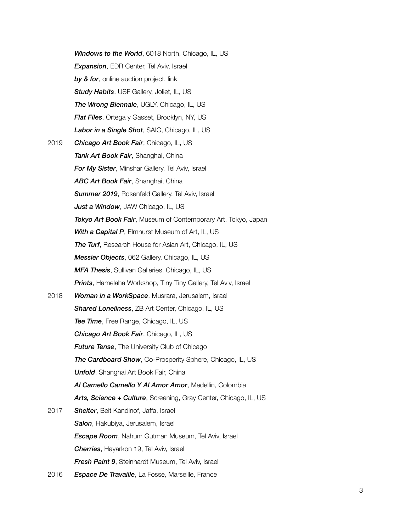|      | Windows to the World, 6018 North, Chicago, IL, US                      |
|------|------------------------------------------------------------------------|
|      | <b>Expansion</b> , EDR Center, Tel Aviv, Israel                        |
|      | by & for, online auction project, link                                 |
|      | Study Habits, USF Gallery, Joliet, IL, US                              |
|      | <b>The Wrong Biennale, UGLY, Chicago, IL, US</b>                       |
|      | <b>Flat Files, Ortega y Gasset, Brooklyn, NY, US</b>                   |
|      | Labor in a Single Shot, SAIC, Chicago, IL, US                          |
| 2019 | Chicago Art Book Fair, Chicago, IL, US                                 |
|      | Tank Art Book Fair, Shanghai, China                                    |
|      | For My Sister, Minshar Gallery, Tel Aviv, Israel                       |
|      | <b>ABC Art Book Fair, Shanghai, China</b>                              |
|      | <b>Summer 2019, Rosenfeld Gallery, Tel Aviv, Israel</b>                |
|      | <b>Just a Window</b> , JAW Chicago, IL, US                             |
|      | Tokyo Art Book Fair, Museum of Contemporary Art, Tokyo, Japan          |
|      | With a Capital P, Elmhurst Museum of Art, IL, US                       |
|      | <b>The Turf, Research House for Asian Art, Chicago, IL, US</b>         |
|      | <b>Messier Objects</b> , 062 Gallery, Chicago, IL, US                  |
|      | <b>MFA Thesis, Sullivan Galleries, Chicago, IL, US</b>                 |
|      | <b>Prints</b> , Hamelaha Workshop, Tiny Tiny Gallery, Tel Aviv, Israel |
| 2018 | Woman in a WorkSpace, Musrara, Jerusalem, Israel                       |
|      | <b>Shared Loneliness</b> , ZB Art Center, Chicago, IL, US              |
|      | Tee Time, Free Range, Chicago, IL, US                                  |
|      | Chicago Art Book Fair, Chicago, IL, US                                 |
|      | <b>Future Tense, The University Club of Chicago</b>                    |
|      | The Cardboard Show, Co-Prosperity Sphere, Chicago, IL, US              |
|      | <b>Unfold</b> , Shanghai Art Book Fair, China                          |
|      | Al Camello Camello Y Al Amor Amor, Medellín, Colombia                  |
|      | Arts, Science + Culture, Screening, Gray Center, Chicago, IL, US       |
| 2017 | <b>Shelter, Beit Kandinof, Jaffa, Israel</b>                           |
|      | Salon, Hakubiya, Jerusalem, Israel                                     |
|      | <b>Escape Room</b> , Nahum Gutman Museum, Tel Aviv, Israel             |
|      | <b>Cherries</b> , Hayarkon 19, Tel Aviv, Israel                        |
|      | <b>Fresh Paint 9, Steinhardt Museum, Tel Aviv, Israel</b>              |
| 2016 | <b>Espace De Travaille</b> , La Fosse, Marseille, France               |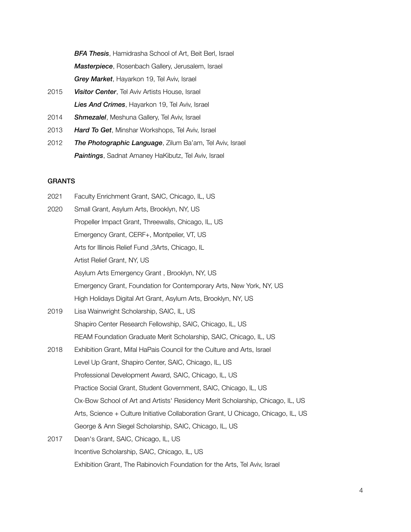*BFA Thesis*, Hamidrasha School of Art, Beit Berl, Israel *Masterpiece*, Rosenbach Gallery, Jerusalem, Israel *Grey Market*, Hayarkon 19, Tel Aviv, Israel

- 2015 *Visitor Center*, Tel Aviv Artists House, Israel *Lies And Crimes*, Hayarkon 19, Tel Aviv, Israel
- 2014 *Shmezalel*, Meshuna Gallery, Tel Aviv, Israel
- 2013 *Hard To Get*, Minshar Workshops, Tel Aviv, Israel
- 2012 *The Photographic Language*, Zilum Ba'am, Tel Aviv, Israel *Paintings*, Sadnat Amaney HaKibutz, Tel Aviv, Israel

### **GRANTS**

| 2021 | Faculty Enrichment Grant, SAIC, Chicago, IL, US                                    |
|------|------------------------------------------------------------------------------------|
| 2020 | Small Grant, Asylum Arts, Brooklyn, NY, US                                         |
|      | Propeller Impact Grant, Threewalls, Chicago, IL, US                                |
|      | Emergency Grant, CERF+, Montpelier, VT, US                                         |
|      | Arts for Illinois Relief Fund , 3Arts, Chicago, IL                                 |
|      | Artist Relief Grant, NY, US                                                        |
|      | Asylum Arts Emergency Grant, Brooklyn, NY, US                                      |
|      | Emergency Grant, Foundation for Contemporary Arts, New York, NY, US                |
|      | High Holidays Digital Art Grant, Asylum Arts, Brooklyn, NY, US                     |
| 2019 | Lisa Wainwright Scholarship, SAIC, IL, US                                          |
|      | Shapiro Center Research Fellowship, SAIC, Chicago, IL, US                          |
|      | REAM Foundation Graduate Merit Scholarship, SAIC, Chicago, IL, US                  |
| 2018 | Exhibition Grant, Mifal HaPais Council for the Culture and Arts, Israel            |
|      | Level Up Grant, Shapiro Center, SAIC, Chicago, IL, US                              |
|      | Professional Development Award, SAIC, Chicago, IL, US                              |
|      | Practice Social Grant, Student Government, SAIC, Chicago, IL, US                   |
|      | Ox-Bow School of Art and Artists' Residency Merit Scholarship, Chicago, IL, US     |
|      | Arts, Science + Culture Initiative Collaboration Grant, U Chicago, Chicago, IL, US |
|      | George & Ann Siegel Scholarship, SAIC, Chicago, IL, US                             |
| 2017 | Dean's Grant, SAIC, Chicago, IL, US                                                |
|      | Incentive Scholarship, SAIC, Chicago, IL, US                                       |

Exhibition Grant, The Rabinovich Foundation for the Arts, Tel Aviv, Israel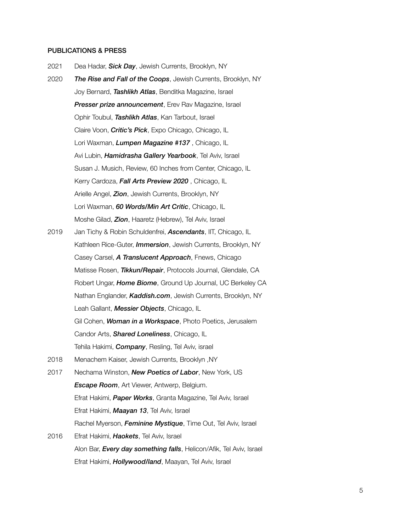#### PUBLICATIONS & PRESS

- 2021 Dea Hadar, *Sick Day*, Jewish Currents, Brooklyn, NY
- 2020 *The Rise and Fall of the Coops*, Jewish Currents, Brooklyn, NY Joy Bernard, *Tashlikh Atlas*, Benditka Magazine, Israel *Presser prize announcement*, Erev Rav Magazine, Israel Ophir Toubul, *Tashlikh Atlas*, Kan Tarbout, Israel Claire Voon, *Critic's Pick*, Expo Chicago, Chicago, IL Lori Waxman, *Lumpen Magazine #137* , Chicago, IL Avi Lubin, *Hamidrasha Gallery Yearbook*, Tel Aviv, Israel Susan J. Musich, Review, 60 Inches from Center, Chicago, IL Kerry Cardoza, *Fall Arts Preview 2020* , Chicago, IL Arielle Angel, *Zion*, Jewish Currents, Brooklyn, NY Lori Waxman, *60 Words/Min Art Critic*, Chicago, IL Moshe Gilad, *Zion*, Haaretz (Hebrew), Tel Aviv, Israel 2019 Jan Tichy & Robin Schuldenfrei, *Ascendants*, IIT, Chicago, IL Kathleen Rice-Guter, *Immersion*, Jewish Currents, Brooklyn, NY
- Casey Carsel, *A Translucent Approach*, Fnews, Chicago Matisse Rosen, *Tikkun/Repair*, Protocols Journal, Glendale, CA Robert Ungar, *Home Biome*, Ground Up Journal, UC Berkeley CA Nathan Englander, *Kaddish.com*, Jewish Currents, Brooklyn, NY Leah Gallant, *Messier Objects*, Chicago, IL Gil Cohen, *Woman in a Workspace*, Photo Poetics, Jerusalem Candor Arts, *Shared Loneliness*, Chicago, IL Tehila Hakimi, *Company*, Resling, Tel Aviv, israel
- 2018 Menachem Kaiser, Jewish Currents, Brooklyn ,NY
- 2017 Nechama Winston, *New Poetics of Labor*, New York, US *Escape Room*, Art Viewer, Antwerp, Belgium. Efrat Hakimi, *Paper Works*, Granta Magazine, Tel Aviv, Israel Efrat Hakimi, *Maayan 13*, Tel Aviv, Israel Rachel Myerson, *Feminine Mystique*, Time Out, Tel Aviv, Israel
- 2016 Efrat Hakimi, *Haokets*, Tel Aviv, Israel Alon Bar, *Every day something falls*, Helicon/Afik, Tel Aviv, Israel Efrat Hakimi, *Hollywood/land*, Maayan, Tel Aviv, Israel